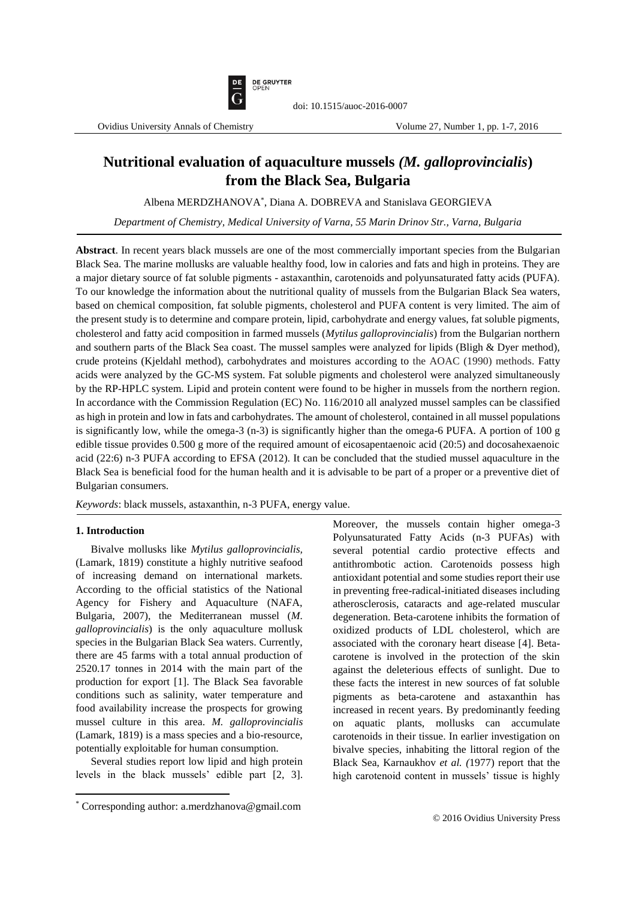

# **Nutritional evaluation of aquaculture mussels** *(M. galloprovincialis***) from the Black Sea, Bulgaria**

Albena MERDZHANOVA\* , Diana A. DOBREVA and Stanislava GEORGIEVA

*Department of Chemistry, Medical University of Varna, 55 Marin Drinov Str., Varna, Bulgaria*

**Abstract**. In recent years black mussels are one of the most commercially important species from the Bulgarian Black Sea. The marine mollusks are valuable healthy food, low in calories and fats and high in proteins. They are a major dietary source of fat soluble pigments - astaxanthin, carotenoids and polyunsaturated fatty acids (PUFA). To our knowledge the information about the nutritional quality of mussels from the Bulgarian Black Sea waters, based on chemical composition, fat soluble pigments, cholesterol and PUFA content is very limited. The aim of the present study is to determine and compare protein, lipid, carbohydrate and energy values, fat soluble pigments, cholesterol and fatty acid composition in farmed mussels (*Mytilus galloprovincialis*) from the Bulgarian northern and southern parts of the Black Sea coast. The mussel samples were analyzed for lipids (Bligh & Dyer method), crude proteins (Kjeldahl method), carbohydrates and moistures according to the AOAC (1990) methods. Fatty acids were analyzed by the GC-MS system. Fat soluble pigments and cholesterol were analyzed simultaneously by the RP-HPLC system. Lipid and protein content were found to be higher in mussels from the northern region. In accordance with the Commission Regulation (EC) No. 116/2010 all analyzed mussel samples can be classified as high in protein and low in fats and carbohydrates. The amount of cholesterol, contained in all mussel populations is significantly low, while the omega-3 (n-3) is significantly higher than the omega-6 PUFA. A portion of 100 g edible tissue provides 0.500 g more of the required amount of eicosapentaenoic acid (20:5) and docosahexaenoic acid (22:6) n-3 PUFA according to EFSA (2012). It can be concluded that the studied mussel aquaculture in the Black Sea is beneficial food for the human health and it is advisable to be part of a proper or a preventive diet of Bulgarian consumers.

*Keywords*: black mussels, astaxanthin, n-3 PUFA, energy value.

# **1. Introduction**

 $\overline{a}$ 

Bivalve mollusks like *Mytilus galloprovincialis,*  (Lamark, 1819) constitute a highly nutritive seafood of increasing demand on international markets. According to the official statistics of the National Agency for Fishery and Aquaculture (NAFA, Bulgaria, 2007), the Mediterranean mussel (*M. galloprovincialis*) is the only aquaculture mollusk species in the Bulgarian Black Sea waters. Currently, there are 45 farms with a total annual production of 2520.17 tonnes in 2014 with the main part of the production for export [1]. The Black Sea favorable conditions such as salinity, water temperature and food availability increase the prospects for growing mussel culture in this area. *M. galloprovincialis*  (Lamark, 1819) is a mass species and a bio-resource, potentially exploitable for human consumption.

Several studies report low lipid and high protein levels in the black mussels' edible part [2, 3]. Moreover, the mussels contain higher omega-3 Polyunsaturated Fatty Acids (n-3 PUFAs) with several potential cardio protective effects and antithrombotic action. Carotenoids possess high antioxidant potential and some studies report their use in preventing free-radical-initiated diseases including atherosclerosis, cataracts and age-related muscular degeneration. Beta-carotene inhibits the formation of oxidized products of LDL cholesterol, which are associated with the coronary heart disease [4]. Betacarotene is involved in the protection of the skin against the deleterious effects of sunlight. Due to these facts the interest in new sources of fat soluble pigments as beta-carotene and astaxanthin has increased in recent years. By predominantly feeding on aquatic plants, mollusks can accumulate carotenoids in their tissue. In earlier investigation on bivalve species, inhabiting the littoral region of the Black Sea, Karnaukhov *et al. (*1977) report that the high carotenoid content in mussels' tissue is highly

<sup>\*</sup> Corresponding author: a.merdzhanova@gmail.com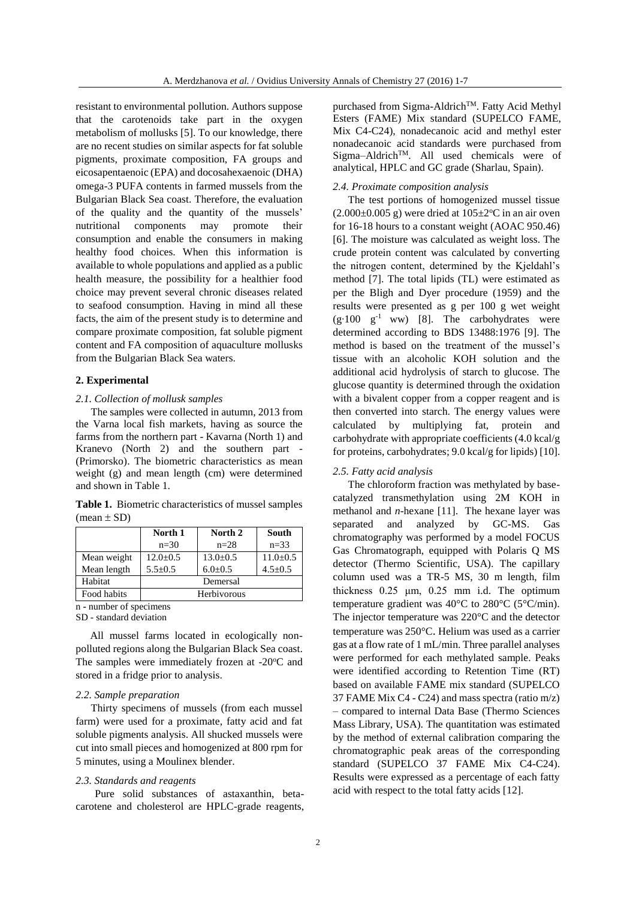resistant to environmental pollution. Authors suppose that the carotenoids take part in the oxygen metabolism of mollusks [5]. To our knowledge, there are no recent studies on similar aspects for fat soluble pigments, proximate composition, FA groups and eicosapentaenoic (EPA) and docosahexaenoic (DHA) omega-3 PUFA contents in farmed mussels from the Bulgarian Black Sea coast. Therefore, the evaluation of the quality and the quantity of the mussels' nutritional components may promote their consumption and enable the consumers in making healthy food choices. When this information is available to whole populations and applied as a public health measure, the possibility for a healthier food choice may prevent several chronic diseases related to seafood consumption. Having in mind all these facts, the aim of the present study is to determine and compare proximate composition, fat soluble pigment content and FA composition of aquaculture mollusks from the Bulgarian Black Sea waters.

### **2. Experimental**

#### *2.1. Collection of mollusk samples*

The samples were collected in autumn, 2013 from the Varna local fish markets, having as source the farms from the northern part - Kavarna (North 1) and Kranevo (North 2) and the southern part - (Primorsko). The biometric characteristics as mean weight (g) and mean length (cm) were determined and shown in Table 1.

**Table 1.** Biometric characteristics of mussel samples  $(mean \pm SD)$ 

|             | North 1      | North 2        | South        |
|-------------|--------------|----------------|--------------|
|             | $n=30$       | $n=28$         | $n = 33$     |
| Mean weight | $12.0 + 0.5$ | $13.0 \pm 0.5$ | $11.0 + 0.5$ |
| Mean length | $5.5 + 0.5$  | $6.0 \pm 0.5$  | $4.5 + 0.5$  |
| Habitat     | Demersal     |                |              |
| Food habits | Herbivorous  |                |              |

n **-** number of specimens SD - standard deviation

All mussel farms located in ecologically nonpolluted regions along the Bulgarian Black Sea coast. The samples were immediately frozen at  $-20^{\circ}$ C and stored in a fridge prior to analysis.

#### *2.2. Sample preparation*

Thirty specimens of mussels (from each mussel farm) were used for a proximate, fatty acid and fat soluble pigments analysis. All shucked mussels were cut into small pieces and homogenized at 800 rpm for 5 minutes, using a Moulinex blender.

### *2.3. Standards and reagents*

Pure solid substances of astaxanthin, betacarotene and cholesterol are HPLC-grade reagents, purchased from Sigma-Aldrich<sup>TM</sup>. Fatty Acid Methyl Esters (FAME) Mix standard (SUPELCO FAME, Mix C4-C24), nonadecanoic acid and methyl ester nonadecanoic acid standards were purchased from  $Sigma-Aldrich<sup>TM</sup>$ . All used chemicals were of analytical, HPLC and GC grade (Sharlau, Spain).

### *2.4. Proximate composition analysis*

The test portions of homogenized mussel tissue  $(2.000\pm0.005 \text{ g})$  were dried at  $105\pm2\degree$ C in an air oven for 16-18 hours to a constant weight (AOAC 950.46) [6]. The moisture was calculated as weight loss. The crude protein content was calculated by converting the nitrogen content, determined by the Kjeldahl's method [7]. The total lipids (TL) were estimated as per the Bligh and Dyer procedure (1959) and the results were presented as g per 100 g wet weight (g∙100 g -1 ww) [8]. The carbohydrates were determined according to BDS 13488:1976 [9]. The method is based on the treatment of the mussel's tissue with an alcoholic KOH solution and the additional acid hydrolysis of starch to glucose. The glucose quantity is determined through the oxidation with a bivalent copper from a copper reagent and is then converted into starch. The energy values were calculated by multiplying fat, protein and carbohydrate with appropriate coefficients (4.0 kcal/g for proteins, carbohydrates; 9.0 kcal/g for lipids) [10].

### *2.5. Fatty acid analysis*

The chloroform fraction was methylated by basecatalyzed transmethylation using 2M KOH in methanol and *n*-hexane [11]. The hexane layer was separated and analyzed by GC-MS. Gas chromatography was performed by a model FOCUS Gas Chromatograph, equipped with Polaris Q MS detector (Thermo Scientific, USA). The capillary column used was a TR-5 MS, 30 m length, film thickness 0.25 μm, 0.25 mm i.d. The optimum temperature gradient was 40°C to 280°C (5°C/min). The injector temperature was 220°C and the detector temperature was 250°C. Helium was used as a carrier gas at a flow rate of 1 mL/min. Three parallel analyses were performed for each methylated sample. Peaks were identified according to Retention Time (RT) based on available FAME mix standard (SUPELCO 37 FAME Mix C4 - C24) and mass spectra (ratio m/z) – compared to internal Data Base (Thermo Sciences Mass Library, USA). The quantitation was estimated by the method of external calibration comparing the chromatographic peak areas of the corresponding standard (SUPELCO 37 FAME Mix C4-C24). Results were expressed as a percentage of each fatty acid with respect to the total fatty acids [12].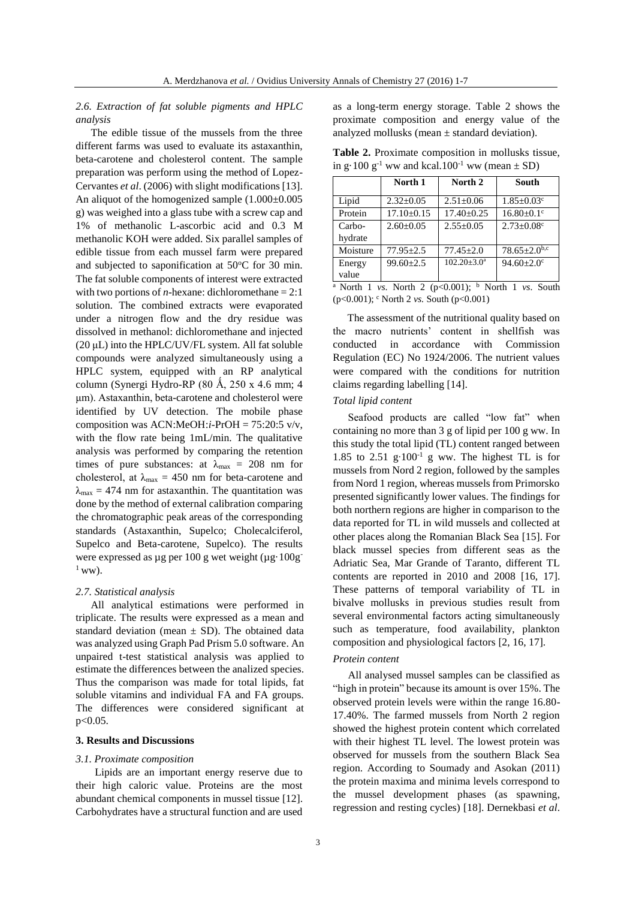*2.6. Extraction of fat soluble pigments and HPLC analysis*

The edible tissue of the mussels from the three different farms was used to evaluate its astaxanthin, beta-carotene and cholesterol content. The sample preparation was perform using the method of Lopez-Cervantes *et al*. (2006) with slight modifications [13]. An aliquot of the homogenized sample (1.000±0.005 g) was weighed into a glass tube with a screw cap and 1% of methanolic L-ascorbic acid and 0.3 M methanolic KOH were added. Six parallel samples of edible tissue from each mussel farm were prepared and subjected to saponification at  $50^{\circ}$ C for 30 min. The fat soluble components of interest were extracted with two portions of *n*-hexane: dichloromethane  $= 2:1$ solution. The combined extracts were evaporated under a nitrogen flow and the dry residue was dissolved in methanol: dichloromethane and injected (20 μL) into the HPLC/UV/FL system. All fat soluble compounds were analyzed simultaneously using a HPLC system, equipped with an RP analytical column (Synergi Hydro-RP  $(80 \text{ Å}, 250 \text{ x } 4.6 \text{ mm}; 4)$ μm). Astaxanthin, beta-carotene and cholesterol were identified by UV detection. The mobile phase composition was ACN:MeOH:*i-*PrOH = 75:20:5 v/v, with the flow rate being 1mL/min. The qualitative analysis was performed by comparing the retention times of pure substances: at  $\lambda_{\text{max}} = 208$  nm for cholesterol, at  $\lambda_{\text{max}} = 450$  nm for beta-carotene and  $\lambda_{\text{max}} = 474$  nm for astaxanthin. The quantitation was done by the method of external calibration comparing the chromatographic peak areas of the corresponding standards (Astaxanthin, Supelco; Cholecalciferol, Supelco and Beta-carotene, Supelco). The results were expressed as µg per 100 g wet weight (µg·100g- $1$  ww).

### *2.7. Statistical analysis*

All analytical estimations were performed in triplicate. The results were expressed as a mean and standard deviation (mean  $\pm$  SD). The obtained data was analyzed using Graph Pad Prism 5.0 software. An unpaired t-test statistical analysis was applied to estimate the differences between the analized species. Thus the comparison was made for total lipids, fat soluble vitamins and individual FA and FA groups. The differences were considered significant at  $p < 0.05$ .

### **3. Results and Discussions**

#### *3.1. Proximate composition*

Lipids are an important energy reserve due to their high caloric value. Proteins are the most abundant chemical components in mussel tissue [12]. Carbohydrates have a structural function and are used

as a long-term energy storage. Table 2 shows the proximate composition and energy value of the analyzed mollusks (mean  $\pm$  standard deviation).

| in g. 100 g <sup>-1</sup> ww and kcal. $100^{\circ}$ ww (mean $\pm$ SD) |                  |                 |                              |  |  |  |
|-------------------------------------------------------------------------|------------------|-----------------|------------------------------|--|--|--|
|                                                                         | North 1          | North 2         | South                        |  |  |  |
| Lipid                                                                   | $2.32+0.05$      | $2.51 \pm 0.06$ | $1.85 \pm 0.03$ <sup>c</sup> |  |  |  |
| Protein                                                                 | $17.10 \pm 0.15$ | $17.40 + 0.25$  | $16.80 \pm 0.1$ <sup>c</sup> |  |  |  |
| Carbo-                                                                  | $2.60 \pm 0.05$  | $2.55 \pm 0.05$ | $2.73 \pm 0.08$ c            |  |  |  |
| hydrate                                                                 |                  |                 |                              |  |  |  |

**Table 2.** Proximate composition in mollusks tissue, in g·100 g <sup>-1</sup> ww and kcal.100<sup>-1</sup> ww (mean  $\pm$  SD)

North 1 *vs*. North 2 (p<0.001); <sup>b</sup> North 1 *vs*. South (p<0.001); <sup>c</sup> North 2 *vs.* South (p<0.001)

Moisture 77.95±2.5 77.45±2.0 78.65±2.0<sup>b,c</sup><br>Energy 99.60+2.5 102.20±3.0<sup>a</sup> 94.60+2.0<sup>c</sup>

 $94.60 \pm 2.0$ <sup>c</sup>

 $99.60 \pm 2.5$ 

The assessment of the nutritional quality based on the macro nutrients' content in shellfish was conducted in accordance with Commission Regulation (EC) No 1924/2006. The nutrient values were compared with the conditions for nutrition claims regarding labelling [14].

### *Total lipid content*

Energy value

Seafood products are called "low fat" when containing no more than 3 g of lipid per 100 g ww. In this study the total lipid (TL) content ranged between 1.85 to 2.51 g⋅100<sup>-1</sup> g ww. The highest TL is for mussels from Nord 2 region, followed by the samples from Nord 1 region, whereas mussels from Primorsko presented significantly lower values. The findings for both northern regions are higher in comparison to the data reported for TL in wild mussels and collected at other places along the Romanian Black Sea [15]. For black mussel species from different seas as the Adriatic Sea, Mar Grande of Taranto, different TL contents are reported in 2010 and 2008 [16, 17]. These patterns of temporal variability of TL in bivalve mollusks in previous studies result from several environmental factors acting simultaneously such as temperature, food availability, plankton composition and physiological factors [2, 16, 17].

### *Protein content*

All analysed mussel samples can be classified as "high in protein" because its amount is over 15%. The observed protein levels were within the range 16.80- 17.40%. The farmed mussels from North 2 region showed the highest protein content which correlated with their highest TL level. The lowest protein was observed for mussels from the southern Black Sea region. According to Soumady and Asokan (2011) the protein maxima and minima levels correspond to the mussel development phases (as spawning, regression and resting cycles) [18]. Dernekbasi *et al*.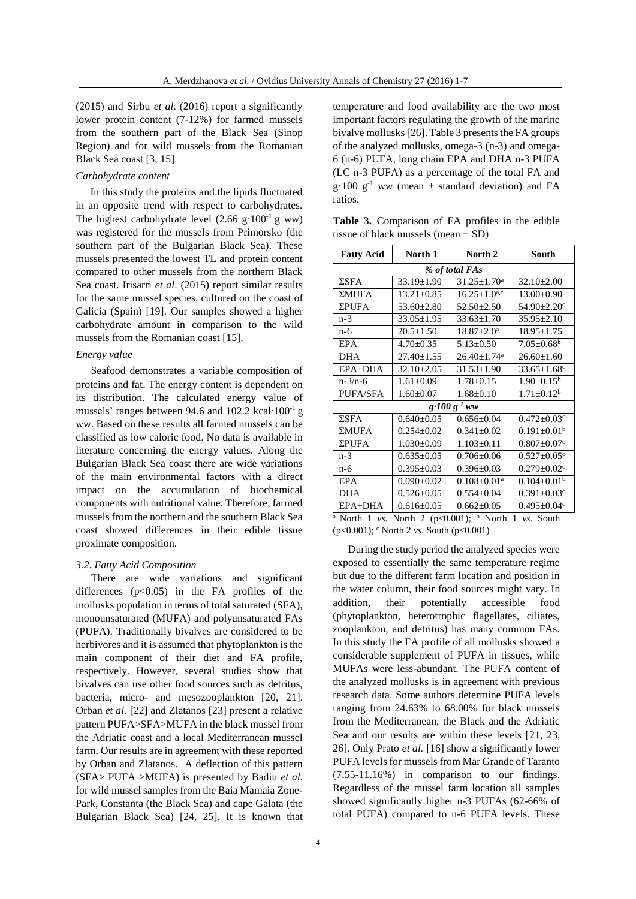(2015) and Sirbu *et al*. (2016) report a significantly lower protein content (7-12%) for farmed mussels from the southern part of the Black Sea (Sinop Region) and for wild mussels from the Romanian Black Sea coast [3, 15].

#### *Carbohydrate content*

In this study the proteins and the lipids fluctuated in an opposite trend with respect to carbohydrates. The highest carbohydrate level  $(2.66 \text{ g} \cdot 100^{-1} \text{ g} \text{ ww})$ was registered for the mussels from Primorsko (the southern part of the Bulgarian Black Sea). These mussels presented the lowest TL and protein content compared to other mussels from the northern Black Sea coast. Irisarri *et al*. (2015) report similar results for the same mussel species, cultured on the coast of Galicia (Spain) [19]. Our samples showed a higher carbohydrate amount in comparison to the wild mussels from the Romanian coast [15].

### *Energy value*

Seafood demonstrates a variable composition of proteins and fat. The energy content is dependent on its distribution. The calculated energy value of mussels' ranges between 94.6 and 102.2 kcal∙100-1 g ww. Based on these results all farmed mussels can be classified as low caloric food. No data is available in literature concerning the energy values. Along the Bulgarian Black Sea coast there are wide variations of the main environmental factors with a direct impact on the accumulation of biochemical components with nutritional value. Therefore, farmed mussels from the northern and the southern Black Sea coast showed differences in their edible tissue proximate composition.

#### *3.2. Fatty Acid Composition*

There are wide variations and significant differences  $(p<0.05)$  in the FA profiles of the mollusks population in terms of total saturated (SFA), monounsaturated (MUFA) and polyunsaturated FAs (PUFA). Traditionally bivalves are considered to be herbivores and it is assumed that phytoplankton is the main component of their diet and FA profile, respectively. However, several studies show that bivalves can use other food sources such as detritus, bacteria, micro- and mesozooplankton [20, 21]. Orban *et al.* [22] and Zlatanos [23] present a relative pattern PUFA>SFA>MUFA in the black mussel from the Adriatic coast and a local Mediterranean mussel farm. Our results are in agreement with these reported by Orban and Zlatanos. A deflection of this pattern (SFA> PUFA >MUFA) is presented by Badiu *et al.* for wild mussel samples from the Baia Mamaia Zone-Park, Constanta (the Black Sea) and cape Galata (the Bulgarian Black Sea) [24, 25]. It is known that temperature and food availability are the two most important factors regulating the growth of the marine bivalve mollusks [26]. Table 3 presents the FA groups of the analyzed mollusks, omega-3 (n-3) and omega-6 (n-6) PUFA, long chain EPA and DHA n-3 PUFA (LC n-3 PUFA) as a percentage of the total FA and  $g \cdot 100$   $g^{-1}$  ww (mean  $\pm$  standard deviation) and FA ratios.

**Table 3.** Comparison of FA profiles in the edible tissue of black mussels (mean  $\pm$  SD)

| <b>Fatty Acid</b>       | North 1          | North 2                       | South                         |  |
|-------------------------|------------------|-------------------------------|-------------------------------|--|
| % of total FAs          |                  |                               |                               |  |
| $\Sigma$ SFA            | $33.19 \pm 1.90$ | $31.25 \pm 1.70^a$            | $32.10 \pm 2.00$              |  |
| ΣMUFA                   | $13.21 \pm 0.85$ | $16.25 \pm 1.0^{a,c}$         | $13.00 \pm 0.90$              |  |
| <b>ΣPUFA</b>            | $53.60 \pm 2.80$ | $52.50 \pm 2.50$              | 54.90±2.20c                   |  |
| $n-3$                   | $33.05 \pm 1.95$ | $33.63 \pm 1.70$              | $35.95 \pm 2.10$              |  |
| $n-6$                   | $20.5 \pm 1.50$  | $18.87 \pm 2.0^a$             | $18.95 \pm 1.75$              |  |
| EPA                     | $4.70 \pm 0.35$  | $5.13 \pm 0.50$               | $7.05 \pm 0.68$ <sup>b</sup>  |  |
| <b>DHA</b>              | $27.40 \pm 1.55$ | $26.40 \pm 1.74$ <sup>a</sup> | $26.60 \pm 1.60$              |  |
| EPA+DHA                 | $32.10 \pm 2.05$ | $31.53 \pm 1.90$              | $33.65 \pm 1.68$ c            |  |
| $n - 3/n - 6$           | $1.61 \pm 0.09$  | $1.78 \pm 0.15$               | $1.90 \pm 0.15^b$             |  |
| PUFA/SFA                | $1.60 \pm 0.07$  | $1.68 \pm 0.10$               | $1.71 \pm 0.12^b$             |  |
| $g \cdot 100 g^{-1}$ ww |                  |                               |                               |  |
| $\Sigma$ SFA            | $0.640 \pm 0.05$ | $0.656 \pm 0.04$              | $0.472 \pm 0.03$ <sup>c</sup> |  |
| $\Sigma MUFA$           | $0.254 \pm 0.02$ | $0.341 \pm 0.02$              | $0.191 \pm 0.01^{\rm b}$      |  |
| ΣPUFA                   | $1.030 \pm 0.09$ | $1.103 \pm 0.11$              | $0.807 \pm 0.07$ <sup>c</sup> |  |
| $n-3$                   | $0.635 \pm 0.05$ | $0.706 \pm 0.06$              | $0.527 \pm 0.05$ <sup>c</sup> |  |
| $n-6$                   | $0.395 \pm 0.03$ | $0.396 \pm 0.03$              | $0.279 \pm 0.02$ <sup>c</sup> |  |
| EPA                     | $0.090 \pm 0.02$ | $0.108 \pm 0.01$ <sup>a</sup> | $0.104 \pm 0.01$ <sup>b</sup> |  |
| <b>DHA</b>              | $0.526 \pm 0.05$ | $0.554 \pm 0.04$              | $0.391 \pm 0.03$ c            |  |
| EPA+DHA                 | $0.616 \pm 0.05$ | $0.662 \pm 0.05$              | $0.495 \pm 0.04$ c            |  |

North 1 *vs*. North 2 (p<0.001); <sup>b</sup> North 1 *vs*. South (p<0.001); <sup>c</sup> North 2 *vs.* South (p<0.001)

During the study period the analyzed species were exposed to essentially the same temperature regime but due to the different farm location and position in the water column, their food sources might vary. In addition, their potentially accessible food (phytoplankton, heterotrophic flagellates, ciliates, zooplankton, and detritus) has many common FAs. In this study the FA profile of all mollusks showed a considerable supplement of PUFA in tissues, while MUFAs were less-abundant. The PUFA content of the analyzed mollusks is in agreement with previous research data. Some authors determine PUFA levels ranging from 24.63% to 68.00% for black mussels from the Mediterranean, the Black and the Adriatic Sea and our results are within these levels [21, 23, 26]. Only Prato *et al.* [16] show a significantly lower PUFA levels for mussels from Mar Grande of Taranto (7.55-11.16%) in comparison to our findings. Regardless of the mussel farm location all samples showed significantly higher n-3 PUFAs (62-66% of total PUFA) compared to n-6 PUFA levels. These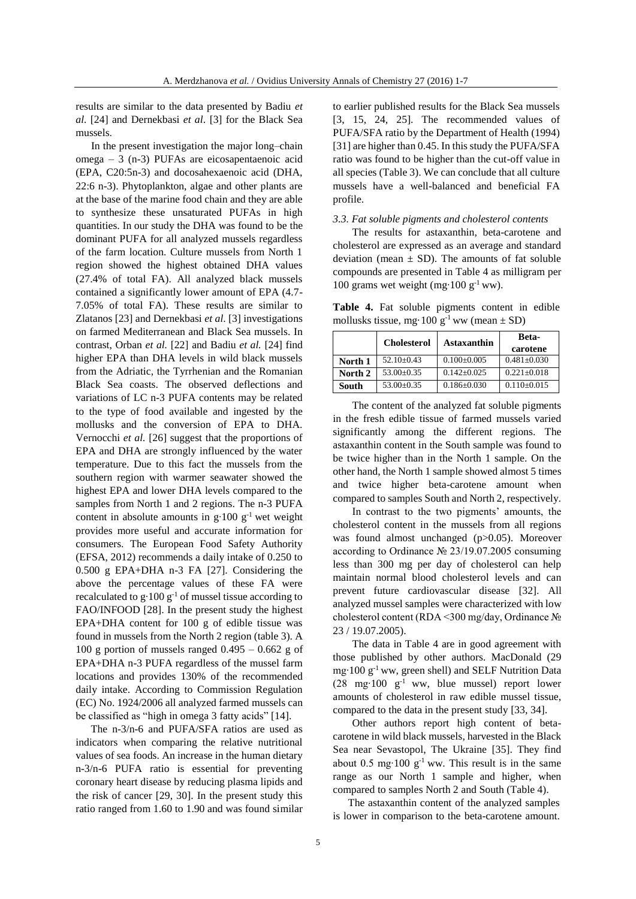results are similar to the data presented by Badiu *et al.* [24] and Dernekbasi *et al*. [3] for the Black Sea mussels.

In the present investigation the major long–chain omega – 3 (n-3) PUFAs are eicosapentaenoic acid (EPA, C20:5n-3) and docosahexaenoic acid (DHA, 22:6 n-3). Phytoplankton, algae and other plants are at the base of the marine food chain and they are able to synthesize these unsaturated PUFAs in high quantities. In our study the DHA was found to be the dominant PUFA for all analyzed mussels regardless of the farm location. Culture mussels from North 1 region showed the highest obtained DHA values (27.4% of total FA). All analyzed black mussels contained a significantly lower amount of EPA (4.7- 7.05% of total FA). These results are similar to Zlatanos [23] and Dernekbasi *et al*. [3] investigations on farmed Mediterranean and Black Sea mussels. In contrast, Orban *et al.* [22] and Badiu *et al.* [24] find higher EPA than DHA levels in wild black mussels from the Adriatic, the Tyrrhenian and the Romanian Black Sea coasts. The observed deflections and variations of LC n-3 PUFA contents may be related to the type of food available and ingested by the mollusks and the conversion of EPA to DHA. Vernocchi *et al.* [26] suggest that the proportions of EPA and DHA are strongly influenced by the water temperature. Due to this fact the mussels from the southern region with warmer seawater showed the highest EPA and lower DHA levels compared to the samples from North 1 and 2 regions. The n-3 PUFA content in absolute amounts in g∙100 g-1 wet weight provides more useful and accurate information for consumers. The European Food Safety Authority (EFSA, 2012) recommends a daily intake of 0.250 to 0.500 g EPA+DHA n-3 FA [27]. Considering the above the percentage values of these FA were recalculated to  $g \cdot 100 g^{-1}$  of mussel tissue according to FAO/INFOOD [28]. In the present study the highest EPA+DHA content for 100 g of edible tissue was found in mussels from the North 2 region (table 3). A 100 g portion of mussels ranged  $0.495 - 0.662$  g of EPA+DHA n-3 PUFA regardless of the mussel farm locations and provides 130% of the recommended daily intake. According to Commission Regulation (EC) No. 1924/2006 all analyzed farmed mussels can be classified as "high in omega 3 fatty acids" [14].

The n-3/n-6 and PUFA/SFA ratios are used as indicators when comparing the relative nutritional values of sea foods. An increase in the human dietary n-3/n-6 PUFA ratio is essential for preventing coronary heart disease by reducing plasma lipids and the risk of cancer [29, 30]. In the present study this ratio ranged from 1.60 to 1.90 and was found similar to earlier published results for the Black Sea mussels [3, 15, 24, 25]. The recommended values of PUFA/SFA ratio by the Department of Health (1994) [31] are higher than 0.45. In this study the PUFA/SFA ratio was found to be higher than the cut-off value in all species (Table 3). We can conclude that all culture mussels have a well-balanced and beneficial FA profile.

#### *3.3. Fat soluble pigments and cholesterol contents*

The results for astaxanthin, beta-carotene and cholesterol are expressed as an average and standard deviation (mean  $\pm$  SD). The amounts of fat soluble compounds are presented in Table 4 as milligram per 100 grams wet weight (mg∙100 g -1 ww).

**Table 4.** Fat soluble pigments content in edible mollusks tissue, mg·100  $g^{-1}$  ww (mean  $\pm$  SD)

|         | <b>Cholesterol</b> | Astaxanthin     | Beta-<br>carotene |
|---------|--------------------|-----------------|-------------------|
| North 1 | $52.10+0.43$       | $0.100 + 0.005$ | $0.481 + 0.030$   |
| North 2 | $53.00+0.35$       | $0.142 + 0.025$ | $0.221 + 0.018$   |
| South   | $53.00+0.35$       | $0.186 + 0.030$ | $0.110+0.015$     |

The content of the analyzed fat soluble pigments in the fresh edible tissue of farmed mussels varied significantly among the different regions. The astaxanthin content in the South sample was found to be twice higher than in the North 1 sample. On the other hand, the North 1 sample showed almost 5 times and twice higher beta-carotene amount when compared to samples South and North 2, respectively.

In contrast to the two pigments' amounts, the cholesterol content in the mussels from all regions was found almost unchanged (p>0.05). Moreover according to Ordinance № 23/19.07.2005 consuming less than 300 mg per day of cholesterol can help maintain normal blood cholesterol levels and can prevent future cardiovascular disease [32]. All analyzed mussel samples were characterized with low cholesterol content (RDA <300 mg/day, Ordinance № 23 / 19.07.2005).

The data in Table 4 are in good agreement with those published by other authors. MacDonald (29 mg∙100 g -1 ww, green shell) and SELF Nutrition Data (28 mg∙100 g -1 ww, blue mussel) report lower amounts of cholesterol in raw edible mussel tissue, compared to the data in the present study [33, 34].

Other authors report high content of betacarotene in wild black mussels, harvested in the Black Sea near Sevastopol, The Ukraine [35]. They find about 0.5 mg⋅100  $g<sup>-1</sup>$  ww. This result is in the same range as our North 1 sample and higher, when compared to samples North 2 and South (Table 4).

The astaxanthin content of the analyzed samples is lower in comparison to the beta-carotene amount.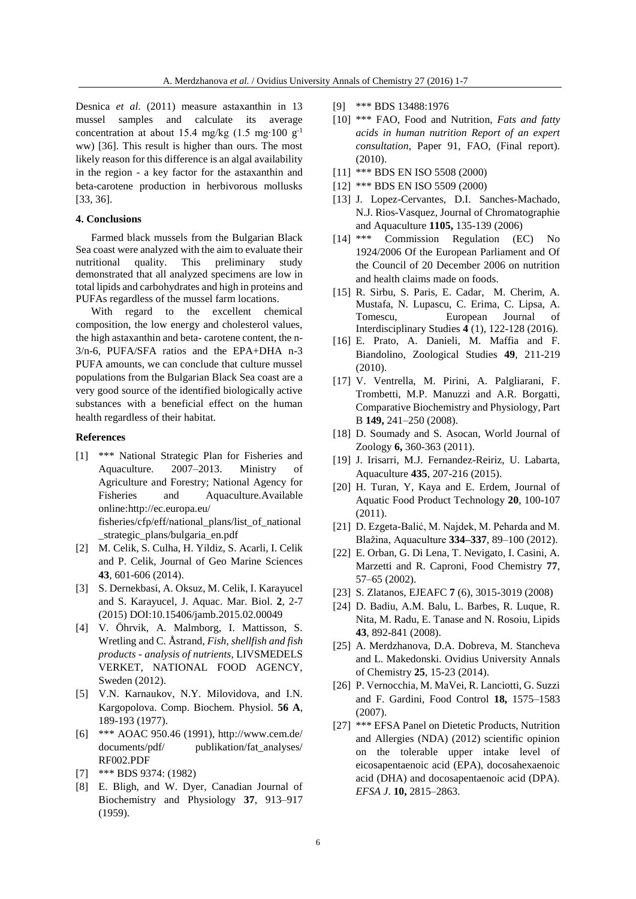Desnica *et al*. (2011) measure astaxanthin in 13 mussel samples and calculate its average concentration at about 15.4 mg/kg (1.5 mg⋅100 g<sup>-1</sup> ww) [36]. This result is higher than ours. The most likely reason for this difference is an algal availability in the region - a key factor for the astaxanthin and beta-carotene production in herbivorous mollusks [33, 36].

# **4. Conclusions**

Farmed black mussels from the Bulgarian Black Sea coast were analyzed with the aim to evaluate their nutritional quality. This preliminary study demonstrated that all analyzed specimens are low in total lipids and carbohydrates and high in proteins and PUFAs regardless of the mussel farm locations.

With regard to the excellent chemical composition, the low energy and cholesterol values, the high astaxanthin and beta- carotene content, the n-3/n-6, PUFA/SFA ratios and the EPA+DHA n-3 PUFA amounts, we can conclude that culture mussel populations from the Bulgarian Black Sea coast are a very good source of the identified biologically active substances with a beneficial effect on the human health regardless of their habitat.

### **References**

[1] \*\*\* National Strategic Plan for Fisheries and Aquaculture. 2007–2013. Ministry of Agriculture and Forestry; National Agency for Fisheries and Aquaculture.Available online:http://ec.europa.eu/

fisheries/cfp/eff/national\_plans/list\_of\_national \_strategic\_plans/bulgaria\_en.pdf

- [2] M. Celik, S. Culha, H. Yildiz, S. Acarli, I. Celik and P. Celik, Journal of Geo Marine Sciences **43**, 601-606 (2014).
- [3] S. Dernekbasi, A. Oksuz, M. Celik, I. Karayucel and S. Karayucel, J. Aquac. Mar. Biol. **2**, 2-7 (2015) DOI:10.15406/jamb.2015.02.00049
- [4] V. Öhrvik, A. Malmborg, I. Mattisson, S. Wretling and C. Åstrand, *Fish, shellfish and fish products - analysis of nutrients,* LIVSMEDELS VERKET, NATIONAL FOOD AGENCY, Sweden (2012).
- [5] V.N. Karnaukov, N.Y. Milovidova, and I.N. Kargopolova. Comp. Biochem. Physiol. **56 A**, 189-193 (1977).
- [6] \*\*\* AOAC 950.46 (1991), http://www.cem.de/ documents/pdf/ publikation/fat\_analyses/ RF002.PDF
- [7] \*\*\* BDS 9374: (1982)
- [8] E. Bligh, and W. Dyer, Canadian Journal of Biochemistry and Physiology **37**, 913–917 (1959).
- [9] \*\*\* BDS 13488:1976
- [10] \*\*\* FAO, Food and Nutrition, *Fats and fatty acids in human nutrition Report of an expert consultation*, Paper 91, FAO, (Final report). (2010).
- [11] \*\*\* BDS EN ISO 5508 (2000)
- [12] \*\*\* BDS EN ISO 5509 (2000)
- [13] J. Lopez-Cervantes, D.I. Sanches-Machado, N.J. Rios-Vasquez, Journal of Chromatographie and Aquaculture **1105,** 135-139 (2006)
- [14] \*\*\* Commission Regulation (EC) No 1924/2006 Of the European Parliament and Of the Council of 20 December 2006 on nutrition and health claims made on foods.
- [15] R. Sirbu, S. Paris, E. Cadar, M. Cherim, A. Mustafa, N. Lupascu, C. Erima, C. Lipsa, A. Tomescu, European Journal of Interdisciplinary Studies **4** (1), 122-128 (2016).
- [16] E. Prato, A. Danieli, M. Maffia and F. Biandolino, Zoological Studies **49**, 211-219 (2010).
- [17] V. Ventrella, M. Pirini, A. Palgliarani, F. Trombetti, M.P. Manuzzi and A.R. Borgatti, Comparative Biochemistry and Physiology, Part B **149,** 241–250 (2008).
- [18] D. Soumady and S. Asocan, World Journal of Zoology **6,** 360-363 (2011).
- [19] J. Irisarri, M.J. Fernandez-Reiriz, U. Labarta, Aquaculture **435**, 207-216 (2015).
- [20] H. Turan, Y, Kaya and E. Erdem, Journal of Aquatic Food Product Technology **20**, 100-107 (2011).
- [21] D. Ezgeta-Balić, M. Najdek, M. Peharda and M. Blažina, Aquaculture **334–337**, 89–100 (2012).
- [22] E. Orban, G. Di Lena, T. Nevigato, I. Casini, A. Marzetti and R. Caproni, Food Chemistry **77**, 57–65 (2002).
- [23] S. Zlatanos, EJEAFC **7** (6), 3015-3019 (2008)
- [24] D. Badiu, A.M. Balu, L. Barbes, R. Luque, R. Nita, M. Radu, E. Tanase and N. Rosoiu, Lipids **43**, 892-841 (2008).
- [25] A. Merdzhanova, D.A. Dobreva, M. Stancheva and L. Makedonski. Ovidius University Annals of Chemistry **25**, 15-23 (2014).
- [26] P. Vernocchia, M. MaVei, R. Lanciotti, G. Suzzi and F. Gardini, Food Control **18,** 1575–1583 (2007).
- [27] \*\*\* EFSA Panel on Dietetic Products, Nutrition and Allergies (NDA) (2012) scientific opinion on the tolerable upper intake level of eicosapentaenoic acid (EPA), docosahexaenoic acid (DHA) and docosapentaenoic acid (DPA). *EFSA J*. **10,** 2815–2863.